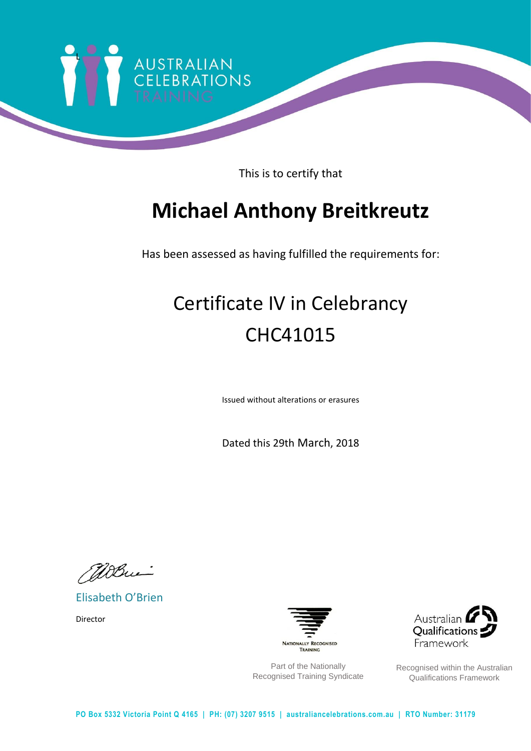

This is to certify that

### **Michael Anthony Breitkreutz**

Has been assessed as having fulfilled the requirements for:

# Certificate IV in Celebrancy CHC41015

Issued without alterations or erasures

Dated this 29th March, 2018

Willie.

Elisabeth O'Brien

Director



Part of the Nationally Recognised Training Syndicate



Recognised within the Australian Qualifications Framework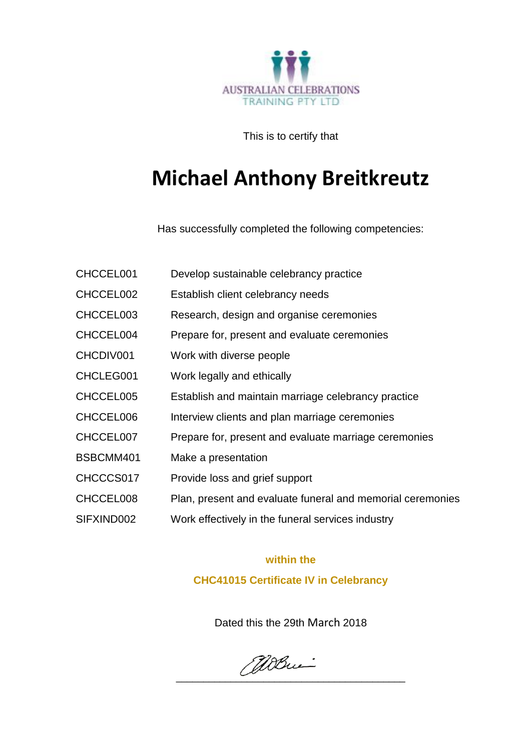

This is to certify that

### **Michael Anthony Breitkreutz**

Has successfully completed the following competencies:

| CHCCEL001  | Develop sustainable celebrancy practice                    |
|------------|------------------------------------------------------------|
| CHCCEL002  | Establish client celebrancy needs                          |
| CHCCEL003  | Research, design and organise ceremonies                   |
| CHCCEL004  | Prepare for, present and evaluate ceremonies               |
| CHCDIV001  | Work with diverse people                                   |
| CHCLEG001  | Work legally and ethically                                 |
| CHCCEL005  | Establish and maintain marriage celebrancy practice        |
| CHCCEL006  | Interview clients and plan marriage ceremonies             |
| CHCCEL007  | Prepare for, present and evaluate marriage ceremonies      |
| BSBCMM401  | Make a presentation                                        |
| CHCCCS017  | Provide loss and grief support                             |
| CHCCEL008  | Plan, present and evaluate funeral and memorial ceremonies |
| SIFXIND002 | Work effectively in the funeral services industry          |

#### **within the**

**CHC41015 Certificate IV in Celebrancy**

Dated this the 29th March 2018

\_\_\_\_\_\_\_\_\_\_\_\_\_\_\_\_\_\_\_\_\_\_\_\_\_\_\_\_\_\_\_\_\_\_\_\_\_\_\_\_\_\_